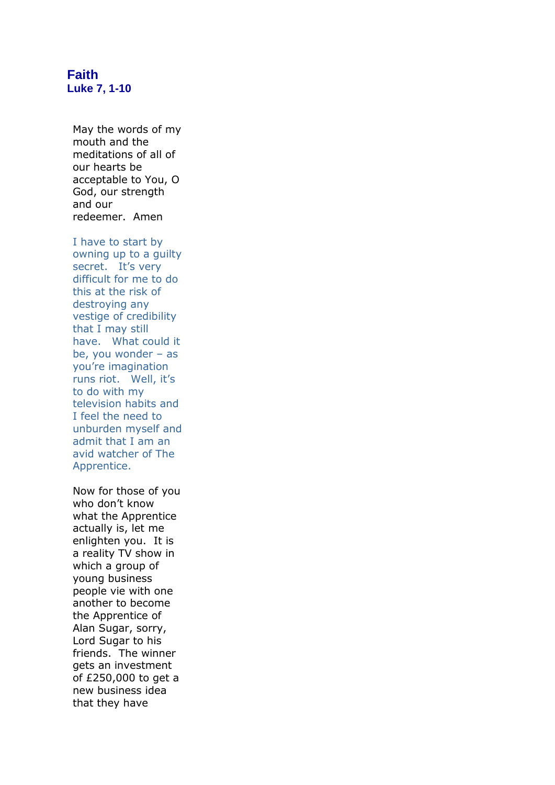## **Faith Luke 7, 1-10**

May the words of my mouth and the meditations of all of our hearts be acceptable to You, O God, our strength and our redeemer. Amen

I have to start by owning up to a guilty secret. It's very difficult for me to do this at the risk of destroying any vestige of credibility that I may still have. What could it be, you wonder – as you're imagination runs riot. Well, it's to do with my television habits and I feel the need to unburden myself and admit that I am an avid watcher of The Apprentice.

Now for those of you who don't know what the Apprentice actually is, let me enlighten you. It is a reality TV show in which a group of young business people vie with one another to become the Apprentice of Alan Sugar, sorry, Lord Sugar to his friends. The winner gets an investment of £250,000 to get a new business idea that they have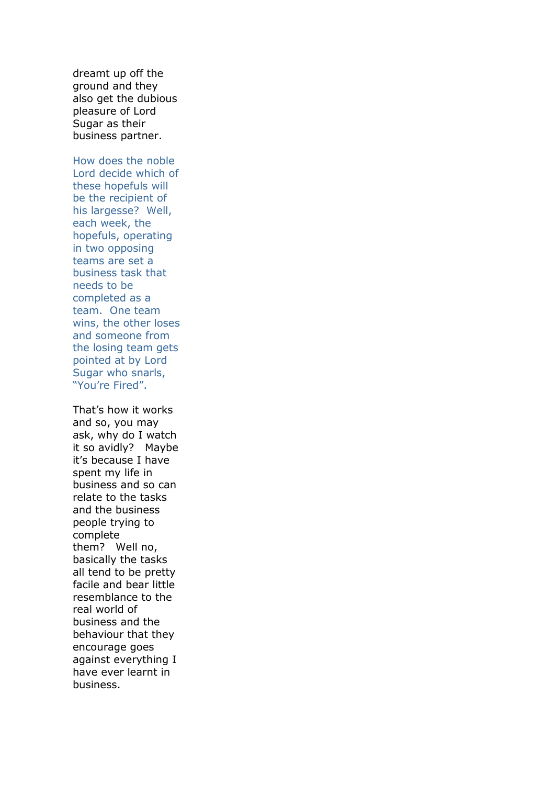dreamt up off the ground and they also get the dubious pleasure of Lord Sugar as their business partner.

How does the noble Lord decide which of these hopefuls will be the recipient of his largesse? Well, each week, the hopefuls, operating in two opposing teams are set a business task that needs to be completed as a team. One team wins, the other loses and someone from the losing team gets pointed at by Lord Sugar who snarls, "You're Fired".

That's how it works and so, you may ask, why do I watch it so avidly? Maybe it's because I have spent my life in business and so can relate to the tasks and the business people trying to complete them? Well no, basically the tasks all tend to be pretty facile and bear little resemblance to the real world of business and the behaviour that they encourage goes against everything I have ever learnt in business.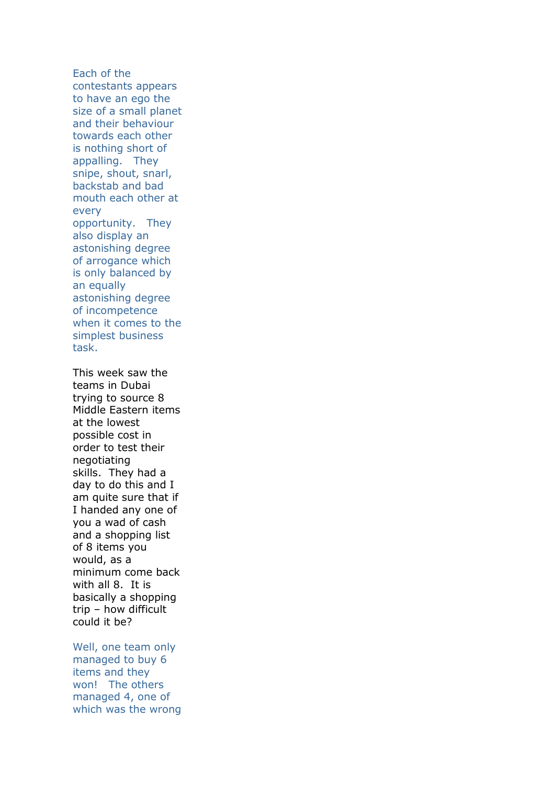Each of the contestants appears to have an ego the size of a small planet and their behaviour towards each other is nothing short of appalling. They snipe, shout, snarl, backstab and bad mouth each other at every opportunity. They also display an astonishing degree of arrogance which is only balanced by an equally astonishing degree of incompetence when it comes to the simplest business task.

This week saw the teams in Dubai trying to source 8 Middle Eastern items at the lowest possible cost in order to test their negotiating skills. They had a day to do this and I am quite sure that if I handed any one of you a wad of cash and a shopping list of 8 items you would, as a minimum come back with all 8. It is basically a shopping trip – how difficult could it be?

Well, one team only managed to buy 6 items and they won! The others managed 4, one of which was the wrong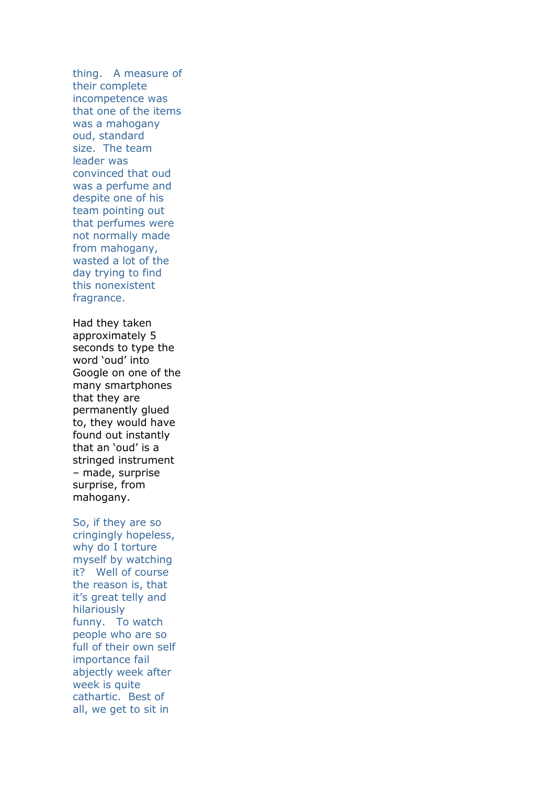thing. A measure of their complete incompetence was that one of the items was a mahogany oud, standard size. The team leader was convinced that oud was a perfume and despite one of his team pointing out that perfumes were not normally made from mahogany, wasted a lot of the day trying to find this nonexistent fragrance.

Had they taken approximately 5 seconds to type the word 'oud' into Google on one of the many smartphones that they are permanently glued to, they would have found out instantly that an 'oud' is a stringed instrument – made, surprise surprise, from mahogany.

## So, if they are so

cringingly hopeless, why do I torture myself by watching it? Well of course the reason is, that it's great telly and hilariously funny. To watch people who are so full of their own self importance fail abjectly week after week is quite cathartic. Best of all, we get to sit in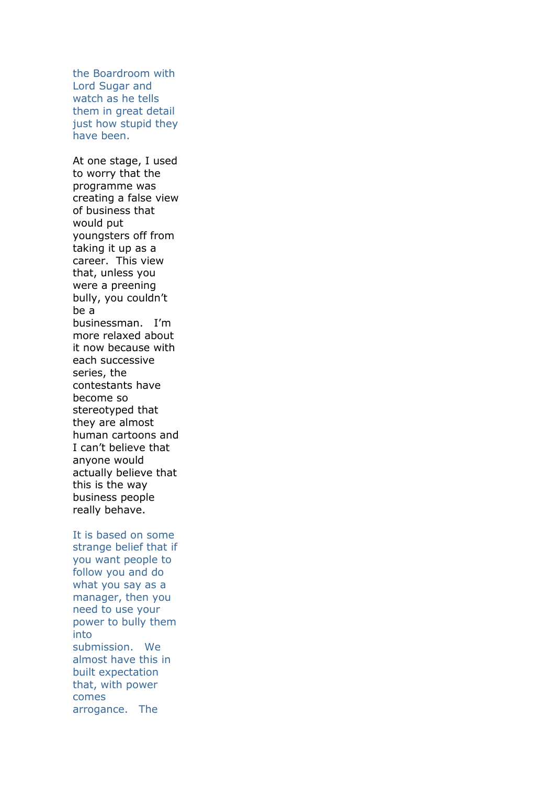the Boardroom with Lord Sugar and watch as he tells them in great detail just how stupid they have been.

At one stage, I used to worry that the programme was creating a false view of business that would put youngsters off from taking it up as a career. This view that, unless you were a preening bully, you couldn't be a businessman. I'm more relaxed about it now because with each successive series, the contestants have become so stereotyped that they are almost human cartoons and I can't believe that anyone would actually believe that this is the way business people really behave.

It is based on some strange belief that if you want people to follow you and do what you say as a manager, then you need to use your power to bully them into submission. We almost have this in built expectation that, with power comes arrogance. The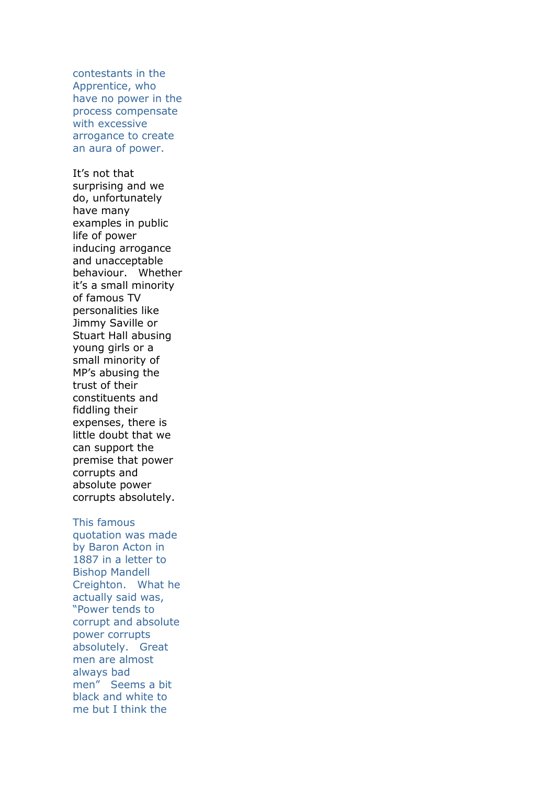contestants in the Apprentice, who have no power in the process compensate with excessive arrogance to create an aura of power.

It's not that surprising and we do, unfortunately have many examples in public life of power inducing arrogance and unacceptable behaviour. Whether it's a small minority of famous TV personalities like Jimmy Saville or Stuart Hall abusing young girls or a small minority of MP's abusing the trust of their constituents and fiddling their expenses, there is little doubt that we can support the premise that power corrupts and absolute power corrupts absolutely.

## This famous

quotation was made by Baron Acton in 1887 in a letter to Bishop Mandell Creighton. What he actually said was, "Power tends to corrupt and absolute power corrupts absolutely. Great men are almost always bad men" Seems a bit black and white to me but I think the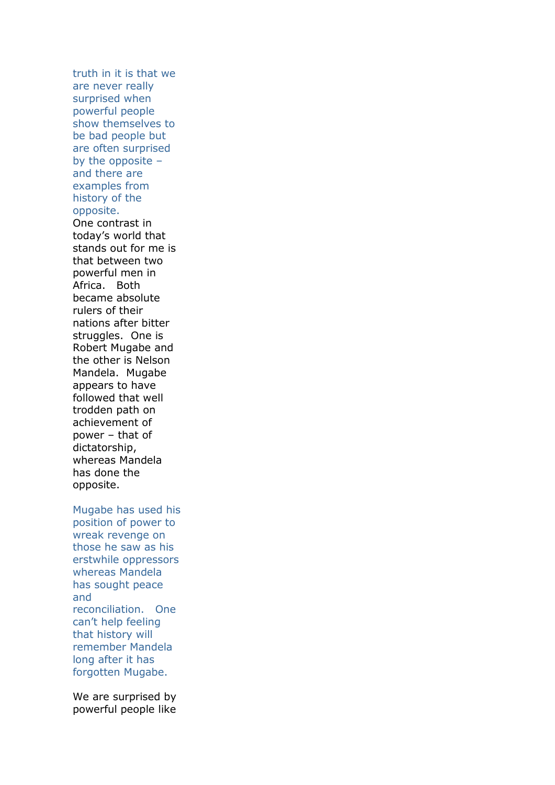truth in it is that we are never really surprised when powerful people show themselves to be bad people but are often surprised by the opposite – and there are examples from history of the opposite.

One contrast in today's world that stands out for me is that between two powerful men in Africa. Both became absolute rulers of their nations after bitter struggles. One is Robert Mugabe and the other is Nelson Mandela. Mugabe appears to have followed that well trodden path on achievement of power – that of dictatorship, whereas Mandela has done the opposite.

Mugabe has used his

position of power to wreak revenge on those he saw as his erstwhile oppressors whereas Mandela has sought peace and reconciliation. One can't help feeling that history will remember Mandela long after it has forgotten Mugabe.

We are surprised by powerful people like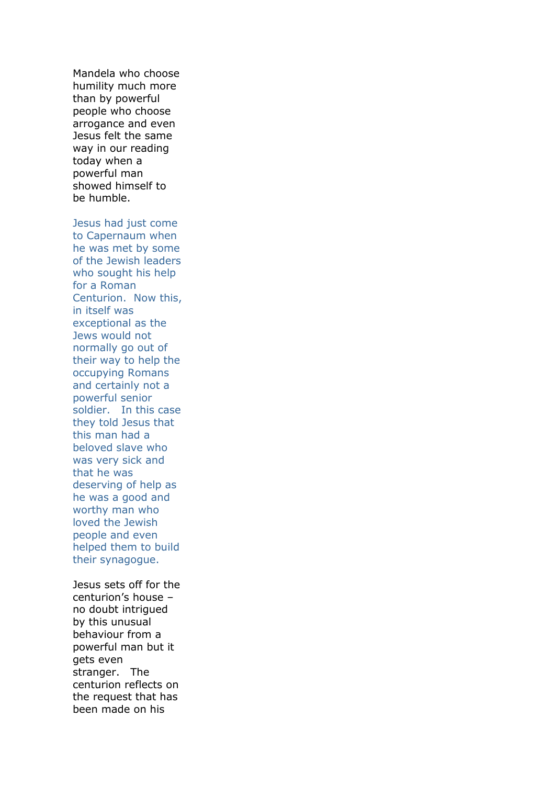Mandela who choose humility much more than by powerful people who choose arrogance and even Jesus felt the same way in our reading today when a powerful man showed himself to be humble.

Jesus had just come to Capernaum when he was met by some of the Jewish leaders who sought his help for a Roman Centurion. Now this, in itself was exceptional as the Jews would not normally go out of their way to help the occupying Romans and certainly not a powerful senior soldier. In this case they told Jesus that this man had a beloved slave who was very sick and that he was deserving of help as he was a good and worthy man who loved the Jewish people and even helped them to build their synagogue.

Jesus sets off for the centurion's house – no doubt intrigued by this unusual behaviour from a powerful man but it gets even stranger. The centurion reflects on the request that has been made on his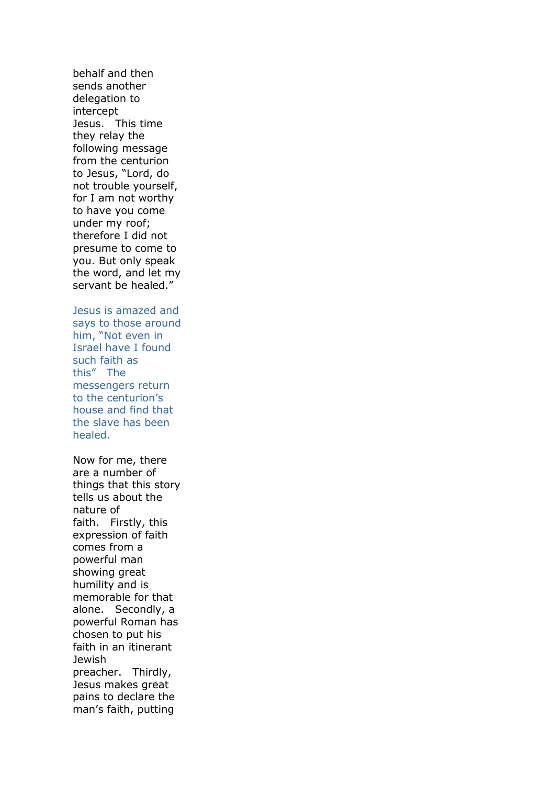behalf and then sends another delegation to intercept Jesus. This time they relay the following message from the centurion to Jesus, "Lord, do not trouble yourself, for I am not worthy to have you come under my roof; therefore I did not presume to come to you. But only speak the word, and let my servant be healed."

Jesus is amazed and says to those around him, "Not even in Israel have I found such faith as this" The messengers return to the centurion's house and find that the slave has been healed.

Now for me, there are a number of things that this story tells us about the nature of faith. Firstly, this expression of faith comes from a powerful man showing great humility and is memorable for that alone. Secondly, a powerful Roman has chosen to put his faith in an itinerant **Jewish** preacher. Thirdly, Jesus makes great pains to declare the man's faith, putting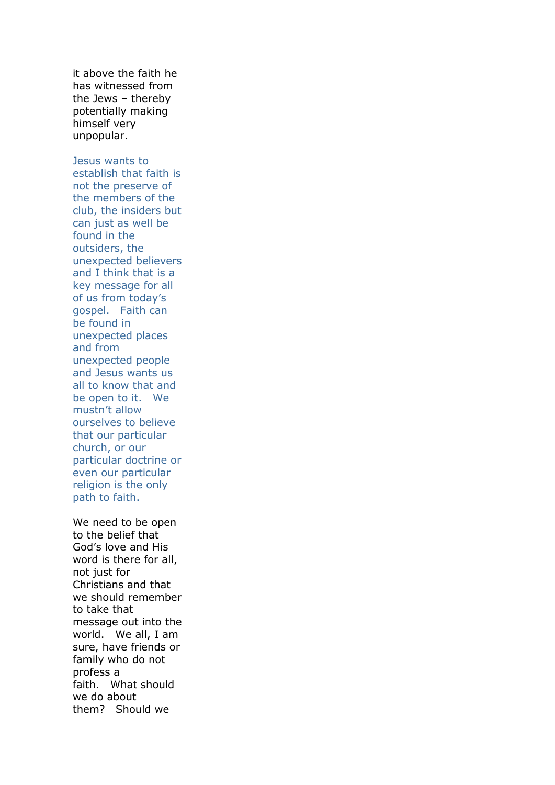it above the faith he has witnessed from the Jews – thereby potentially making himself very unpopular.

Jesus wants to establish that faith is not the preserve of the members of the club, the insiders but can just as well be found in the outsiders, the unexpected believers and I think that is a key message for all of us from today's gospel. Faith can be found in unexpected places and from unexpected people and Jesus wants us all to know that and be open to it. We mustn't allow ourselves to believe that our particular church, or our particular doctrine or even our particular religion is the only path to faith.

We need to be open to the belief that God's love and His word is there for all, not just for Christians and that we should remember to take that message out into the world. We all, I am sure, have friends or family who do not profess a faith. What should we do about them? Should we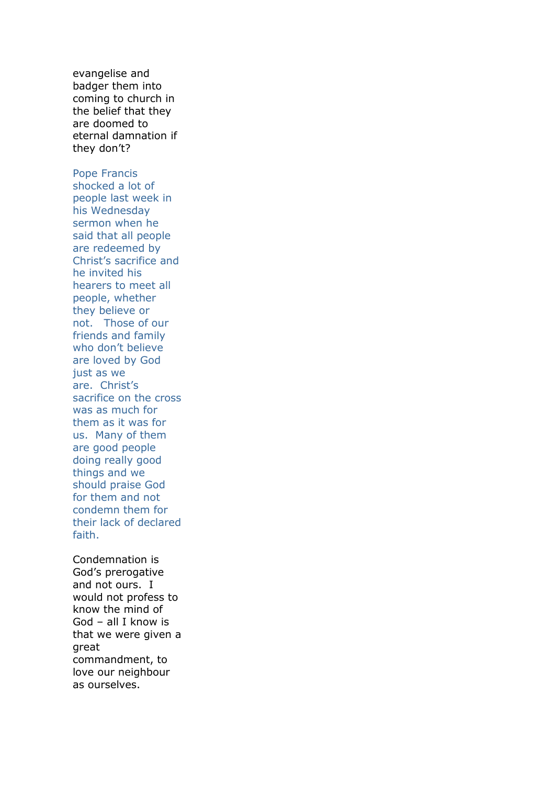evangelise and badger them into coming to church in the belief that they are doomed to eternal damnation if they don't?

Pope Francis shocked a lot of people last week in his Wednesday sermon when he said that all people are redeemed by Christ's sacrifice and he invited his hearers to meet all people, whether they believe or not. Those of our friends and family who don't believe are loved by God just as we are. Christ's sacrifice on the cross was as much for them as it was for us. Many of them are good people doing really good things and we should praise God for them and not condemn them for their lack of declared faith.

Condemnation is God's prerogative and not ours. I would not profess to know the mind of God – all I know is that we were given a great commandment, to love our neighbour as ourselves.